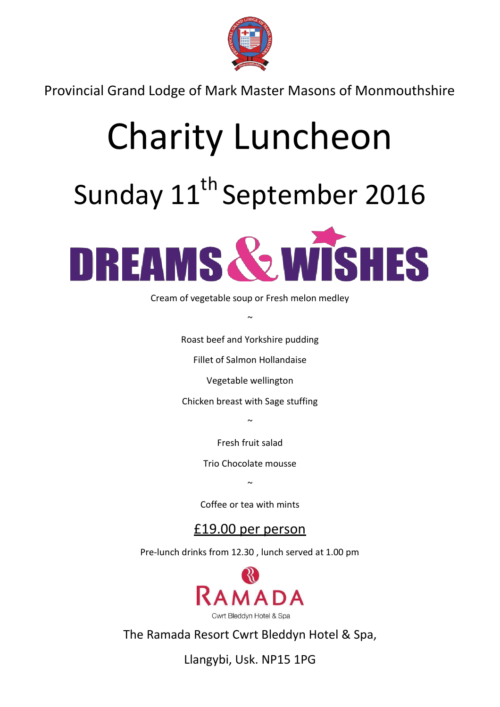

Provincial Grand Lodge of Mark Master Masons of Monmouthshire

## Charity Luncheon

## Sunday 11<sup>th</sup> September 2016



Cream of vegetable soup or Fresh melon medley

Roast beef and Yorkshire pudding

 $\sim$ 

Fillet of Salmon Hollandaise

Vegetable wellington

Chicken breast with Sage stuffing

 $\sim$ 

Fresh fruit salad

Trio Chocolate mousse

 $\sim$ 

Coffee or tea with mints

£19.00 per person

Pre-lunch drinks from 12.30 , lunch served at 1.00 pm



The Ramada Resort Cwrt Bleddyn Hotel & Spa,

Llangybi, Usk. NP15 1PG